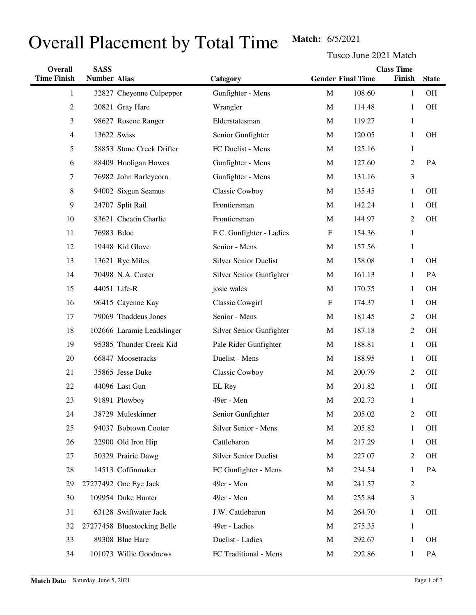## Overall Placement by Total Time Match: 6/5/2021

Tusco June 2021 Match

| Overall            | <b>SASS</b>         |                             |                              |             |                          | <b>Class Time</b> |              |
|--------------------|---------------------|-----------------------------|------------------------------|-------------|--------------------------|-------------------|--------------|
| <b>Time Finish</b> | <b>Number Alias</b> |                             | Category                     |             | <b>Gender Final Time</b> | Finish            | <b>State</b> |
| 1                  |                     | 32827 Cheyenne Culpepper    | Gunfighter - Mens            | $\mathbf M$ | 108.60                   | $\mathbf{1}$      | OH           |
| $\overline{2}$     |                     | 20821 Gray Hare             | Wrangler                     | M           | 114.48                   | 1                 | OH           |
| 3                  |                     | 98627 Roscoe Ranger         | Elderstatesman               | M           | 119.27                   | $\mathbf{1}$      |              |
| $\overline{4}$     |                     | 13622 Swiss                 | Senior Gunfighter            | M           | 120.05                   | $\mathbf{1}$      | <b>OH</b>    |
| 5                  |                     | 58853 Stone Creek Drifter   | FC Duelist - Mens            | M           | 125.16                   | $\mathbf{1}$      |              |
| 6                  |                     | 88409 Hooligan Howes        | Gunfighter - Mens            | M           | 127.60                   | $\mathfrak{2}$    | PA           |
| 7                  |                     | 76982 John Barleycorn       | Gunfighter - Mens            | M           | 131.16                   | $\mathfrak{Z}$    |              |
| 8                  |                     | 94002 Sixgun Seamus         | Classic Cowboy               | M           | 135.45                   | 1                 | <b>OH</b>    |
| 9                  |                     | 24707 Split Rail            | Frontiersman                 | M           | 142.24                   | $\mathbf{1}$      | <b>OH</b>    |
| 10                 |                     | 83621 Cheatin Charlie       | Frontiersman                 | M           | 144.97                   | $\mathfrak{2}$    | <b>OH</b>    |
| 11                 | 76983 Bdoc          |                             | F.C. Gunfighter - Ladies     | $\mathbf F$ | 154.36                   | $\mathbf{1}$      |              |
| 12                 |                     | 19448 Kid Glove             | Senior - Mens                | M           | 157.56                   | $\mathbf{1}$      |              |
| 13                 |                     | 13621 Rye Miles             | <b>Silver Senior Duelist</b> | M           | 158.08                   | $\mathbf{1}$      | <b>OH</b>    |
| 14                 |                     | 70498 N.A. Custer           | Silver Senior Gunfighter     | M           | 161.13                   | $\mathbf{1}$      | PA           |
| 15                 |                     | 44051 Life-R                | josie wales                  | M           | 170.75                   | $\mathbf{1}$      | <b>OH</b>    |
| 16                 |                     | 96415 Cayenne Kay           | Classic Cowgirl              | $\mathbf F$ | 174.37                   | $\mathbf{1}$      | <b>OH</b>    |
| 17                 |                     | 79069 Thaddeus Jones        | Senior - Mens                | M           | 181.45                   | $\mathfrak{2}$    | <b>OH</b>    |
| 18                 |                     | 102666 Laramie Leadslinger  | Silver Senior Gunfighter     | M           | 187.18                   | $\mathfrak{2}$    | <b>OH</b>    |
| 19                 |                     | 95385 Thunder Creek Kid     | Pale Rider Gunfighter        | M           | 188.81                   | $\mathbf{1}$      | <b>OH</b>    |
| 20                 |                     | 66847 Moosetracks           | Duelist - Mens               | M           | 188.95                   | $\mathbf{1}$      | <b>OH</b>    |
| 21                 |                     | 35865 Jesse Duke            | <b>Classic Cowboy</b>        | M           | 200.79                   | $\mathfrak{2}$    | <b>OH</b>    |
| 22                 |                     | 44096 Last Gun              | EL Rey                       | M           | 201.82                   | $\mathbf{1}$      | <b>OH</b>    |
| 23                 |                     | 91891 Plowboy               | 49er - Men                   | $\mathbf M$ | 202.73                   | $\mathbf{1}$      |              |
| 24                 |                     | 38729 Muleskinner           | Senior Gunfighter            | M           | 205.02                   | 2                 | OH           |
| 25                 |                     | 94037 Bobtown Cooter        | Silver Senior - Mens         | M           | 205.82                   | 1                 | OH           |
| 26                 |                     | 22900 Old Iron Hip          | Cattlebaron                  | M           | 217.29                   | $\mathbf{1}$      | OH           |
| 27                 |                     | 50329 Prairie Dawg          | <b>Silver Senior Duelist</b> | M           | 227.07                   | 2                 | OH           |
| 28                 |                     | 14513 Coffinmaker           | FC Gunfighter - Mens         | M           | 234.54                   | 1                 | PA           |
| 29                 |                     | 27277492 One Eye Jack       | 49er - Men                   | M           | 241.57                   | 2                 |              |
| 30                 |                     | 109954 Duke Hunter          | 49er - Men                   | M           | 255.84                   | 3                 |              |
| 31                 |                     | 63128 Swiftwater Jack       | J.W. Cattlebaron             | M           | 264.70                   | 1                 | OH           |
| 32                 |                     | 27277458 Bluestocking Belle | 49er - Ladies                | M           | 275.35                   | $\mathbf{1}$      |              |
| 33                 |                     | 89308 Blue Hare             | Duelist - Ladies             | M           | 292.67                   | 1                 | OH           |
| 34                 |                     | 101073 Willie Goodnews      | FC Traditional - Mens        | M           | 292.86                   | $\mathbf{1}$      | PA           |